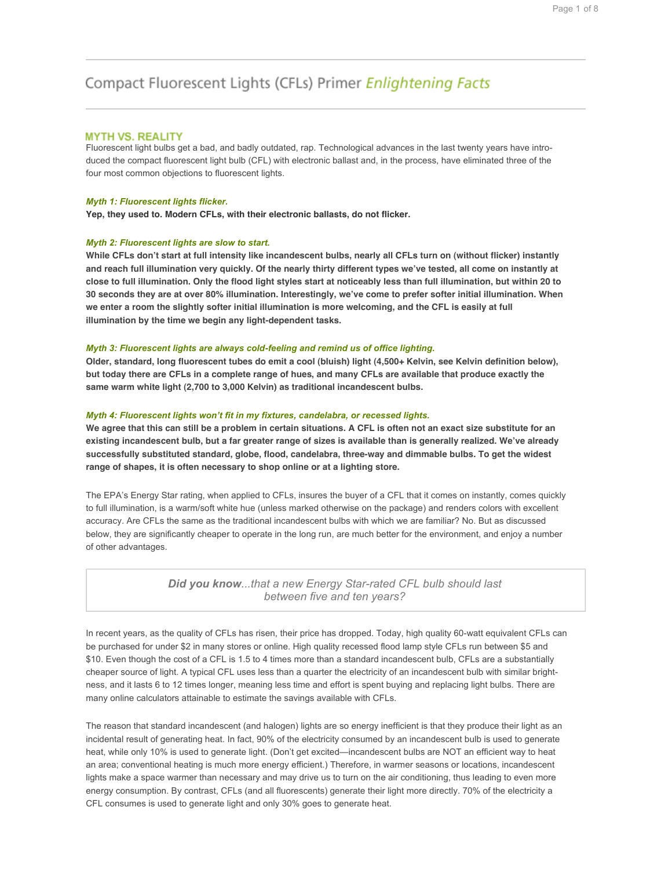# Compact Fluorescent Lights (CFLs) Primer Enlightening Facts

# **MYTH VS. REALITY**

Fluorescent light bulbs get a bad, and badly outdated, rap. Technological advances in the last twenty years have introduced the compact fluorescent light bulb (CFL) with electronic ballast and, in the process, have eliminated three of the four most common objections to fluorescent lights.

#### *Myth 1: Fluorescent lights flicker.*

**Yep, they used to. Modern CFLs, with their electronic ballasts, do not flicker.**

## *Myth 2: Fluorescent lights are slow to start.*

**While CFLs don't start at full intensity like incandescent bulbs, nearly all CFLs turn on (without flicker) instantly and reach full illumination very quickly. Of the nearly thirty different types we've tested, all come on instantly at close to full illumination. Only the flood light styles start at noticeably less than full illumination, but within 20 to 30 seconds they are at over 80% illumination. Interestingly, we've come to prefer softer initial illumination. When we enter a room the slightly softer initial illumination is more welcoming, and the CFL is easily at full illumination by the time we begin any light-dependent tasks.**

## *Myth 3: Fluorescent lights are always cold-feeling and remind us of office lighting.*

**Older, standard, long fluorescent tubes do emit a cool (bluish) light (4,500+ Kelvin, see Kelvin definition below), but today there are CFLs in a complete range of hues, and many CFLs are available that produce exactly the same warm white light (2,700 to 3,000 Kelvin) as traditional incandescent bulbs.**

### *Myth 4: Fluorescent lights won't fit in my fixtures, candelabra, or recessed lights.*

**We agree that this can still be a problem in certain situations. A CFL is often not an exact size substitute for an existing incandescent bulb, but a far greater range of sizes is available than is generally realized. We've already successfully substituted standard, globe, flood, candelabra, three-way and dimmable bulbs. To get the widest range of shapes, it is often necessary to shop online or at a lighting store.**

The EPA's Energy Star rating, when applied to CFLs, insures the buyer of a CFL that it comes on instantly, comes quickly to full illumination, is a warm/soft white hue (unless marked otherwise on the package) and renders colors with excellent accuracy. Are CFLs the same as the traditional incandescent bulbs with which we are familiar? No. But as discussed below, they are significantly cheaper to operate in the long run, are much better for the environment, and enjoy a number of other advantages.

> *Did you know...that a new Energy Star-rated CFL bulb should last between five and ten years?*

In recent years, as the quality of CFLs has risen, their price has dropped. Today, high quality 60-watt equivalent CFLs can be purchased for under \$2 in many stores or online. High quality recessed flood lamp style CFLs run between \$5 and \$10. Even though the cost of a CFL is 1.5 to 4 times more than a standard incandescent bulb, CFLs are a substantially cheaper source of light. A typical CFL uses less than a quarter the electricity of an incandescent bulb with similar brightness, and it lasts 6 to 12 times longer, meaning less time and effort is spent buying and replacing light bulbs. There are many online calculators attainable to estimate the savings available with CFLs.

The reason that standard incandescent (and halogen) lights are so energy inefficient is that they produce their light as an incidental result of generating heat. In fact, 90% of the electricity consumed by an incandescent bulb is used to generate heat, while only 10% is used to generate light. (Don't get excited—incandescent bulbs are NOT an efficient way to heat an area; conventional heating is much more energy efficient.) Therefore, in warmer seasons or locations, incandescent lights make a space warmer than necessary and may drive us to turn on the air conditioning, thus leading to even more energy consumption. By contrast, CFLs (and all fluorescents) generate their light more directly. 70% of the electricity a CFL consumes is used to generate light and only 30% goes to generate heat.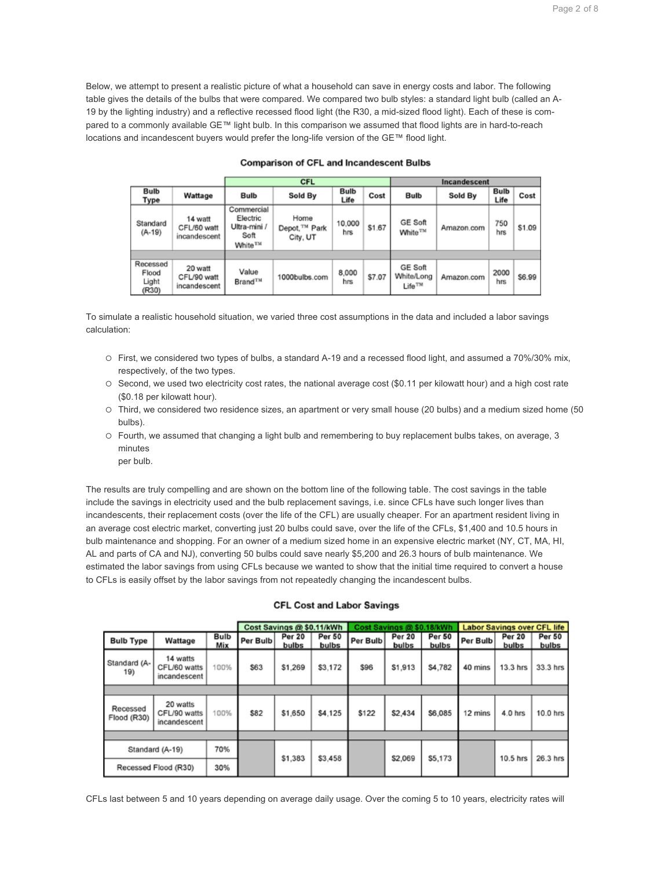Below, we attempt to present a realistic picture of what a household can save in energy costs and labor. The following table gives the details of the bulbs that were compared. We compared two bulb styles: a standard light bulb (called an A-19 by the lighting industry) and a reflective recessed flood light (the R30, a mid-sized flood light). Each of these is compared to a commonly available GE™ light bulb. In this comparison we assumed that flood lights are in hard-to-reach locations and incandescent buyers would prefer the long-life version of the GE™ flood light.

|                                     |                                        | CFL                                                                   |                                               |               |        | Incandescent                                       |            |              |        |
|-------------------------------------|----------------------------------------|-----------------------------------------------------------------------|-----------------------------------------------|---------------|--------|----------------------------------------------------|------------|--------------|--------|
| <b>Bulb</b><br>Type                 | Wattage                                | Bulb                                                                  | Sold By                                       | Bulb<br>Life  | Cost   | <b>Bulb</b>                                        | Sold By    | Bulb<br>Life | Cost   |
| Standard<br>$(A-19)$                | 14 watt<br>CFL/60 watt<br>incandescent | Commercial<br>Electric<br>Ultra-mini /<br>Soft<br>White <sup>TM</sup> | Home<br>Depot, <sup>TM</sup> Park<br>City, UT | 10,000<br>hrs | \$1.67 | <b>GE Soft</b><br>White <sup>TM</sup>              | Amazon.com | 750<br>hrs   | \$1.09 |
|                                     |                                        |                                                                       |                                               |               |        |                                                    |            |              |        |
| Recessed<br>Flood<br>Light<br>(R30) | 20 watt<br>CFL/90 watt<br>incandescent | Value<br>Brand <sup>TM</sup>                                          | 1000bulbs.com                                 | 8,000<br>hrs  | \$7.07 | <b>GE Soft</b><br>White/Long<br>Life <sup>TM</sup> | Amazon.com | 2000<br>hrs  | S6.99  |

# **Comparison of CFL and Incandescent Bulbs**

To simulate a realistic household situation, we varied three cost assumptions in the data and included a labor savings calculation:

- ! First, we considered two types of bulbs, a standard A-19 and a recessed flood light, and assumed a 70%/30% mix, respectively, of the two types.
- ! Second, we used two electricity cost rates, the national average cost (\$0.11 per kilowatt hour) and a high cost rate (\$0.18 per kilowatt hour).
- ! Third, we considered two residence sizes, an apartment or very small house (20 bulbs) and a medium sized home (50 bulbs).
- ! Fourth, we assumed that changing a light bulb and remembering to buy replacement bulbs takes, on average, 3 minutes
	- per bulb.

The results are truly compelling and are shown on the bottom line of the following table. The cost savings in the table include the savings in electricity used and the bulb replacement savings, i.e. since CFLs have such longer lives than incandescents, their replacement costs (over the life of the CFL) are usually cheaper. For an apartment resident living in an average cost electric market, converting just 20 bulbs could save, over the life of the CFLs, \$1,400 and 10.5 hours in bulb maintenance and shopping. For an owner of a medium sized home in an expensive electric market (NY, CT, MA, HI, AL and parts of CA and NJ), converting 50 bulbs could save nearly \$5,200 and 26.3 hours of bulb maintenance. We estimated the labor savings from using CFLs because we wanted to show that the initial time required to convert a house to CFLs is easily offset by the labor savings from not repeatedly changing the incandescent bulbs.

|                         |                                          |             | Cost Savings @ \$0.11/kWh |                 |                        | Cost Savings @ \$0.18/kWh |                 |                 | <b>Labor Savings over CFL life</b> |                 |                        |
|-------------------------|------------------------------------------|-------------|---------------------------|-----------------|------------------------|---------------------------|-----------------|-----------------|------------------------------------|-----------------|------------------------|
| <b>Bulb Type</b>        | Wattage                                  | Bulb<br>Mix | Per Bulb                  | Per 20<br>bulbs | <b>Per 50</b><br>bulbs | Per Bulb                  | Per 20<br>bulbs | Per 50<br>bulbs | Per Bulb                           | Per 20<br>bulbs | <b>Per 50</b><br>bulbs |
| Standard (A-<br>19)     | 14 watts<br>CFL/60 watts<br>incandescent | 100%        | \$63                      | \$1,269         | \$3,172                | \$96                      | \$1,913         | S4.782          | 40 mins                            | 13.3 hrs        | 33.3 hrs               |
|                         |                                          |             |                           |                 |                        |                           |                 |                 |                                    |                 |                        |
| Recessed<br>Flood (R30) | 20 watts<br>CFL/90 watts<br>incandescent | 100%        | \$82                      | \$1,650         | \$4.125                | \$122                     | \$2,434         | \$6,085         | 12 mins                            | 4.0 hrs         | $10.0$ hrs             |
|                         |                                          |             |                           |                 |                        |                           |                 |                 |                                    |                 |                        |
| Standard (A-19)         |                                          | 70%         |                           | \$1,383         | \$3,458                |                           | \$2,069         | \$5,173         |                                    | 10.5 hrs        | 26.3 hrs               |
| Recessed Flood (R30)    |                                          | 30%         |                           |                 |                        |                           |                 |                 |                                    |                 |                        |

# **CFL Cost and Labor Savings**

CFLs last between 5 and 10 years depending on average daily usage. Over the coming 5 to 10 years, electricity rates will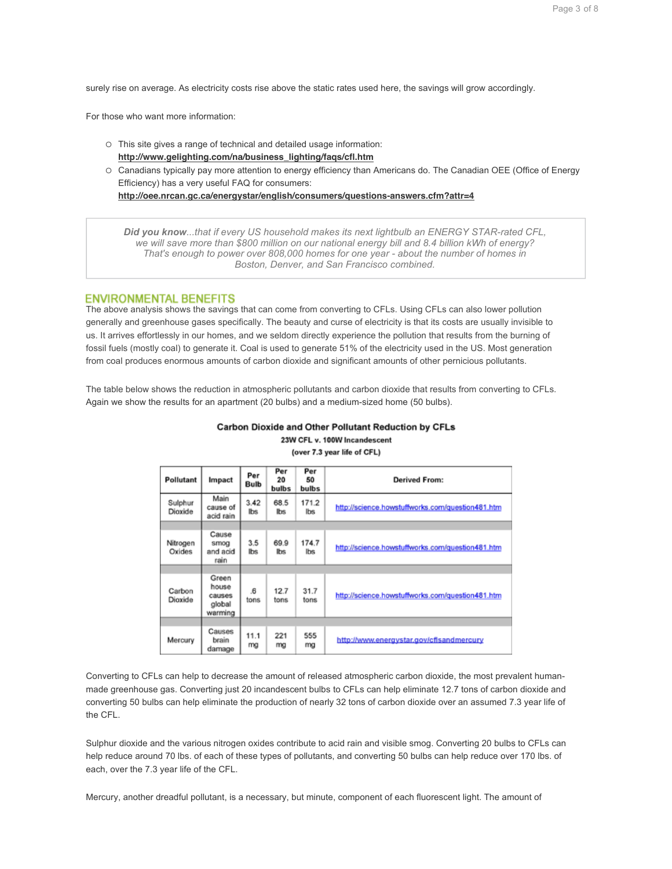surely rise on average. As electricity costs rise above the static rates used here, the savings will grow accordingly.

For those who want more information:

- ! This site gives a range of technical and detailed usage information: **http://www.gelighting.com/na/business\_lighting/faqs/cfl.htm**
- ! Canadians typically pay more attention to energy efficiency than Americans do. The Canadian OEE (Office of Energy Efficiency) has a very useful FAQ for consumers:

**http://oee.nrcan.gc.ca/energystar/english/consumers/questions-answers.cfm?attr=4**

*Did you know...that if every US household makes its next lightbulb an ENERGY STAR-rated CFL, we will save more than \$800 million on our national energy bill and 8.4 billion kWh of energy? That's enough to power over 808,000 homes for one year - about the number of homes in Boston, Denver, and San Francisco combined.* 

# **ENVIRONMENTAL BENEFITS**

The above analysis shows the savings that can come from converting to CFLs. Using CFLs can also lower pollution generally and greenhouse gases specifically. The beauty and curse of electricity is that its costs are usually invisible to us. It arrives effortlessly in our homes, and we seldom directly experience the pollution that results from the burning of fossil fuels (mostly coal) to generate it. Coal is used to generate 51% of the electricity used in the US. Most generation from coal produces enormous amounts of carbon dioxide and significant amounts of other pernicious pollutants.

The table below shows the reduction in atmospheric pollutants and carbon dioxide that results from converting to CFLs. Again we show the results for an apartment (20 bulbs) and a medium-sized home (50 bulbs).

| Pollutant          | Impact                                        | Per<br>Bulb  | Per<br>20<br>bulbs | Per<br>50<br>bulbs | <b>Derived From:</b>                             |
|--------------------|-----------------------------------------------|--------------|--------------------|--------------------|--------------------------------------------------|
| Sulphur<br>Dioxide | Main<br>cause of<br>acid rain                 | 3.42<br>lbs. | 68.5<br>lbs        | 171.2<br>lbs.      | http://science.howstuffworks.com/question481.htm |
|                    |                                               |              |                    |                    |                                                  |
| Nitrogen<br>Oxides | Cause<br>smog<br>and acid<br>rain             | 3.5<br>lbs.  | 69.9<br>Ibs        | 174.7<br>lbs       | http://science.howstuffworks.com/question481.htm |
|                    |                                               |              |                    |                    |                                                  |
| Carbon<br>Dioxide  | Green<br>house<br>causes<br>global<br>warming | .6<br>tons   | 12.7<br>tons       | 31.7<br>tons       | http://science.howstuffworks.com/question481.htm |
|                    |                                               |              |                    |                    |                                                  |
| Mercury            | Causes<br>brain<br>damage                     | 11.1<br>mg   | 221<br>mg          | 555<br>mg          | http://www.energystar.gov/cfisandmercury         |

Carbon Dioxide and Other Pollutant Reduction by CFLs 23W CFL v. 100W Incandescent

(over 7.3 year life of CFL)

Converting to CFLs can help to decrease the amount of released atmospheric carbon dioxide, the most prevalent humanmade greenhouse gas. Converting just 20 incandescent bulbs to CFLs can help eliminate 12.7 tons of carbon dioxide and converting 50 bulbs can help eliminate the production of nearly 32 tons of carbon dioxide over an assumed 7.3 year life of the CFL.

Sulphur dioxide and the various nitrogen oxides contribute to acid rain and visible smog. Converting 20 bulbs to CFLs can help reduce around 70 lbs. of each of these types of pollutants, and converting 50 bulbs can help reduce over 170 lbs. of each, over the 7.3 year life of the CFL.

Mercury, another dreadful pollutant, is a necessary, but minute, component of each fluorescent light. The amount of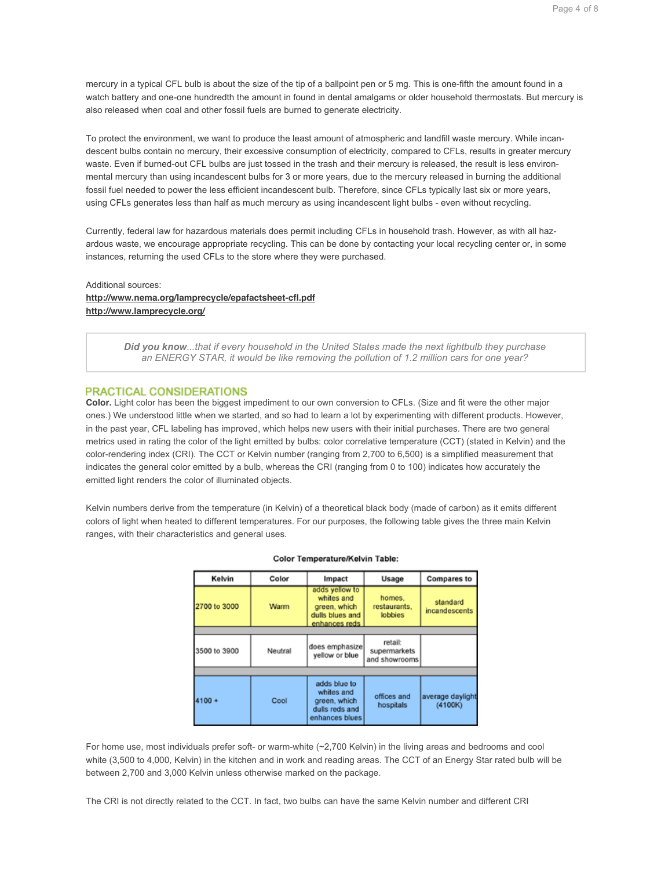Page 4 of 8

mercury in a typical CFL bulb is about the size of the tip of a ballpoint pen or 5 mg. This is one-fifth the amount found in a watch battery and one-one hundredth the amount in found in dental amalgams or older household thermostats. But mercury is also released when coal and other fossil fuels are burned to generate electricity.

To protect the environment, we want to produce the least amount of atmospheric and landfill waste mercury. While incandescent bulbs contain no mercury, their excessive consumption of electricity, compared to CFLs, results in greater mercury waste. Even if burned-out CFL bulbs are just tossed in the trash and their mercury is released, the result is less environmental mercury than using incandescent bulbs for 3 or more years, due to the mercury released in burning the additional fossil fuel needed to power the less efficient incandescent bulb. Therefore, since CFLs typically last six or more years, using CFLs generates less than half as much mercury as using incandescent light bulbs - even without recycling.

Currently, federal law for hazardous materials does permit including CFLs in household trash. However, as with all hazardous waste, we encourage appropriate recycling. This can be done by contacting your local recycling center or, in some instances, returning the used CFLs to the store where they were purchased.

# Additional sources: **http://www.nema.org/lamprecycle/epafactsheet-cfl.pdf http://www.lamprecycle.org/**

*Did you know...that if every household in the United States made the next lightbulb they purchase an ENERGY STAR, it would be like removing the pollution of 1.2 million cars for one year?* 

# PRACTICAL CONSIDERATIONS

**Color.** Light color has been the biggest impediment to our own conversion to CFLs. (Size and fit were the other major ones.) We understood little when we started, and so had to learn a lot by experimenting with different products. However, in the past year, CFL labeling has improved, which helps new users with their initial purchases. There are two general metrics used in rating the color of the light emitted by bulbs: color correlative temperature (CCT) (stated in Kelvin) and the color-rendering index (CRI). The CCT or Kelvin number (ranging from 2,700 to 6,500) is a simplified measurement that indicates the general color emitted by a bulb, whereas the CRI (ranging from 0 to 100) indicates how accurately the emitted light renders the color of illuminated objects.

Kelvin numbers derive from the temperature (in Kelvin) of a theoretical black body (made of carbon) as it emits different colors of light when heated to different temperatures. For our purposes, the following table gives the three main Kelvin ranges, with their characteristics and general uses.

| Kelvin               | Color   |                                                                                  | Usage                                    | <b>Compares to</b>          |  |
|----------------------|---------|----------------------------------------------------------------------------------|------------------------------------------|-----------------------------|--|
| 2700 to 3000<br>Warm |         | adds yellow to<br>whites and<br>green, which<br>dulls blues and<br>enhances reds | homes.<br>restaurants,<br><b>lobbies</b> |                             |  |
|                      |         |                                                                                  |                                          |                             |  |
| 3500 to 3900         | Neutral | does emphasize<br>yellow or blue                                                 | retail:<br>supermarkets<br>and showrooms |                             |  |
|                      |         |                                                                                  |                                          |                             |  |
| 4100 +               | Cool    | adds blue to<br>whites and<br>green, which<br>dulls reds and<br>enhances blues   | offices and<br>hospitals                 | average daylight<br>(4100K) |  |

## Color Temperature/Kelvin Table:

For home use, most individuals prefer soft- or warm-white (~2,700 Kelvin) in the living areas and bedrooms and cool white (3,500 to 4,000, Kelvin) in the kitchen and in work and reading areas. The CCT of an Energy Star rated bulb will be between 2,700 and 3,000 Kelvin unless otherwise marked on the package.

The CRI is not directly related to the CCT. In fact, two bulbs can have the same Kelvin number and different CRI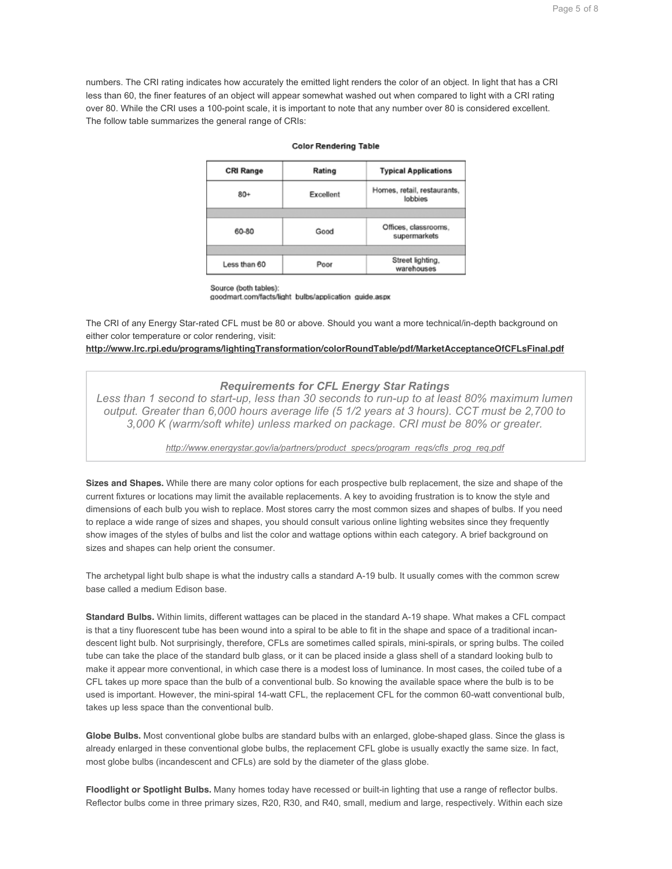numbers. The CRI rating indicates how accurately the emitted light renders the color of an object. In light that has a CRI less than 60, the finer features of an object will appear somewhat washed out when compared to light with a CRI rating over 80. While the CRI uses a 100-point scale, it is important to note that any number over 80 is considered excellent. The follow table summarizes the general range of CRIs:

### **Color Rendering Table**

| <b>CRI Range</b> | Rating    | <b>Typical Applications</b>            |  |  |
|------------------|-----------|----------------------------------------|--|--|
| $80+$            | Excellent | Homes, retail, restaurants,<br>lobbies |  |  |
|                  |           |                                        |  |  |
| 60-80            | Good      | Offices, classrooms,<br>supermarkets   |  |  |
|                  |           |                                        |  |  |
| Less than 60     | Poor      | Street lighting,<br>warehouses         |  |  |

Source (both tables):

goodmart.com/facts/light\_bulbs/application\_guide.aspx

The CRI of any Energy Star-rated CFL must be 80 or above. Should you want a more technical/in-depth background on either color temperature or color rendering, visit:

**http://www.lrc.rpi.edu/programs/lightingTransformation/colorRoundTable/pdf/MarketAcceptanceOfCFLsFinal.pdf**

# *Requirements for CFL Energy Star Ratings*

*Less than 1 second to start-up, less than 30 seconds to run-up to at least 80% maximum lumen output. Greater than 6,000 hours average life (5 1/2 years at 3 hours). CCT must be 2,700 to 3,000 K (warm/soft white) unless marked on package. CRI must be 80% or greater.* 

*http://www.energystar.gov/ia/partners/product\_specs/program\_reqs/cfls\_prog\_req.pdf*

**Sizes and Shapes.** While there are many color options for each prospective bulb replacement, the size and shape of the current fixtures or locations may limit the available replacements. A key to avoiding frustration is to know the style and dimensions of each bulb you wish to replace. Most stores carry the most common sizes and shapes of bulbs. If you need to replace a wide range of sizes and shapes, you should consult various online lighting websites since they frequently show images of the styles of bulbs and list the color and wattage options within each category. A brief background on sizes and shapes can help orient the consumer.

The archetypal light bulb shape is what the industry calls a standard A-19 bulb. It usually comes with the common screw base called a medium Edison base.

**Standard Bulbs.** Within limits, different wattages can be placed in the standard A-19 shape. What makes a CFL compact is that a tiny fluorescent tube has been wound into a spiral to be able to fit in the shape and space of a traditional incandescent light bulb. Not surprisingly, therefore, CFLs are sometimes called spirals, mini-spirals, or spring bulbs. The coiled tube can take the place of the standard bulb glass, or it can be placed inside a glass shell of a standard looking bulb to make it appear more conventional, in which case there is a modest loss of luminance. In most cases, the coiled tube of a CFL takes up more space than the bulb of a conventional bulb. So knowing the available space where the bulb is to be used is important. However, the mini-spiral 14-watt CFL, the replacement CFL for the common 60-watt conventional bulb, takes up less space than the conventional bulb.

**Globe Bulbs.** Most conventional globe bulbs are standard bulbs with an enlarged, globe-shaped glass. Since the glass is already enlarged in these conventional globe bulbs, the replacement CFL globe is usually exactly the same size. In fact, most globe bulbs (incandescent and CFLs) are sold by the diameter of the glass globe.

**Floodlight or Spotlight Bulbs.** Many homes today have recessed or built-in lighting that use a range of reflector bulbs. Reflector bulbs come in three primary sizes, R20, R30, and R40, small, medium and large, respectively. Within each size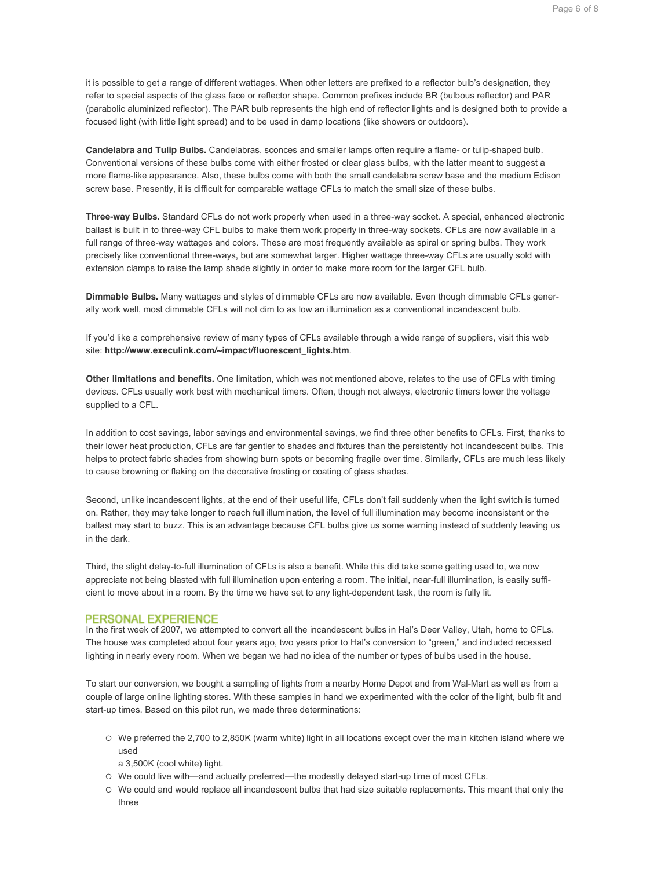it is possible to get a range of different wattages. When other letters are prefixed to a reflector bulb's designation, they refer to special aspects of the glass face or reflector shape. Common prefixes include BR (bulbous reflector) and PAR (parabolic aluminized reflector). The PAR bulb represents the high end of reflector lights and is designed both to provide a focused light (with little light spread) and to be used in damp locations (like showers or outdoors).

**Candelabra and Tulip Bulbs.** Candelabras, sconces and smaller lamps often require a flame- or tulip-shaped bulb. Conventional versions of these bulbs come with either frosted or clear glass bulbs, with the latter meant to suggest a more flame-like appearance. Also, these bulbs come with both the small candelabra screw base and the medium Edison screw base. Presently, it is difficult for comparable wattage CFLs to match the small size of these bulbs.

**Three-way Bulbs.** Standard CFLs do not work properly when used in a three-way socket. A special, enhanced electronic ballast is built in to three-way CFL bulbs to make them work properly in three-way sockets. CFLs are now available in a full range of three-way wattages and colors. These are most frequently available as spiral or spring bulbs. They work precisely like conventional three-ways, but are somewhat larger. Higher wattage three-way CFLs are usually sold with extension clamps to raise the lamp shade slightly in order to make more room for the larger CFL bulb.

**Dimmable Bulbs.** Many wattages and styles of dimmable CFLs are now available. Even though dimmable CFLs generally work well, most dimmable CFLs will not dim to as low an illumination as a conventional incandescent bulb.

If you'd like a comprehensive review of many types of CFLs available through a wide range of suppliers, visit this web site: **http://www.execulink.com/~impact/fluorescent\_lights.htm**.

**Other limitations and benefits.** One limitation, which was not mentioned above, relates to the use of CFLs with timing devices. CFLs usually work best with mechanical timers. Often, though not always, electronic timers lower the voltage supplied to a CFL.

In addition to cost savings, labor savings and environmental savings, we find three other benefits to CFLs. First, thanks to their lower heat production, CFLs are far gentler to shades and fixtures than the persistently hot incandescent bulbs. This helps to protect fabric shades from showing burn spots or becoming fragile over time. Similarly, CFLs are much less likely to cause browning or flaking on the decorative frosting or coating of glass shades.

Second, unlike incandescent lights, at the end of their useful life, CFLs don't fail suddenly when the light switch is turned on. Rather, they may take longer to reach full illumination, the level of full illumination may become inconsistent or the ballast may start to buzz. This is an advantage because CFL bulbs give us some warning instead of suddenly leaving us in the dark.

Third, the slight delay-to-full illumination of CFLs is also a benefit. While this did take some getting used to, we now appreciate not being blasted with full illumination upon entering a room. The initial, near-full illumination, is easily sufficient to move about in a room. By the time we have set to any light-dependent task, the room is fully lit.

# PERSONAL EXPERIENCE

In the first week of 2007, we attempted to convert all the incandescent bulbs in Hal's Deer Valley, Utah, home to CFLs. The house was completed about four years ago, two years prior to Hal's conversion to "green," and included recessed lighting in nearly every room. When we began we had no idea of the number or types of bulbs used in the house.

To start our conversion, we bought a sampling of lights from a nearby Home Depot and from Wal-Mart as well as from a couple of large online lighting stores. With these samples in hand we experimented with the color of the light, bulb fit and start-up times. Based on this pilot run, we made three determinations:

- ! We preferred the 2,700 to 2,850K (warm white) light in all locations except over the main kitchen island where we used
	- a 3,500K (cool white) light.
- ! We could live with—and actually preferred—the modestly delayed start-up time of most CFLs.
- ! We could and would replace all incandescent bulbs that had size suitable replacements. This meant that only the three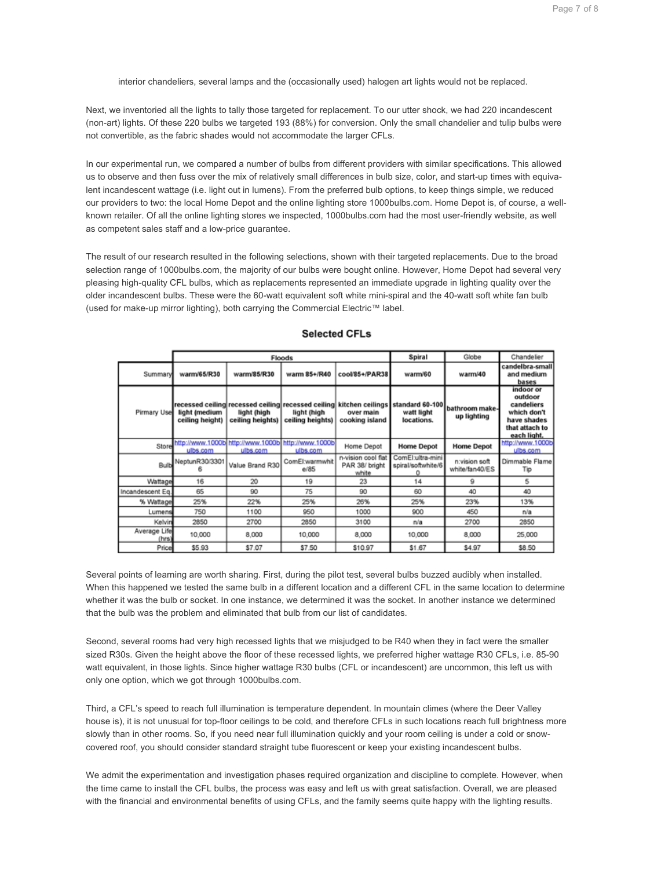interior chandeliers, several lamps and the (occasionally used) halogen art lights would not be replaced.

Next, we inventoried all the lights to tally those targeted for replacement. To our utter shock, we had 220 incandescent (non-art) lights. Of these 220 bulbs we targeted 193 (88%) for conversion. Only the small chandelier and tulip bulbs were not convertible, as the fabric shades would not accommodate the larger CFLs.

In our experimental run, we compared a number of bulbs from different providers with similar specifications. This allowed us to observe and then fuss over the mix of relatively small differences in bulb size, color, and start-up times with equivalent incandescent wattage (i.e. light out in lumens). From the preferred bulb options, to keep things simple, we reduced our providers to two: the local Home Depot and the online lighting store 1000bulbs.com. Home Depot is, of course, a wellknown retailer. Of all the online lighting stores we inspected, 1000bulbs.com had the most user-friendly website, as well as competent sales staff and a low-price guarantee.

The result of our research resulted in the following selections, shown with their targeted replacements. Due to the broad selection range of 1000bulbs.com, the majority of our bulbs were bought online. However, Home Depot had several very pleasing high-quality CFL bulbs, which as replacements represented an immediate upgrade in lighting quality over the older incandescent bulbs. These were the 60-watt equivalent soft white mini-spiral and the 40-watt soft white fan bulb (used for make-up mirror lighting), both carrying the Commercial Electric™ label.

|                       |                                  |                                                                   | <b>Floods</b>                   | Spiral                                        | Globe                                                                                                           | Chandelier                      |                                                                                                   |
|-----------------------|----------------------------------|-------------------------------------------------------------------|---------------------------------|-----------------------------------------------|-----------------------------------------------------------------------------------------------------------------|---------------------------------|---------------------------------------------------------------------------------------------------|
| Summary               | warm/65/R30                      | warm/85/R30                                                       | warm 85+/R40                    | cool/85+/PAR38                                | warm/60                                                                                                         | warm/40                         | candelbra-small<br>and medium<br>bases                                                            |
| Pirmary Use           | light (medium<br>ceiling height) | light (high<br>ceiling heights)                                   | light (high<br>ceiling heights) | over main<br>cooking island                   | recessed ceiling recessed ceiling recessed ceiling kitchen ceilings standard 60-100<br>watt light<br>locations. | bathroom make-<br>up lighting   | indoor or<br>outdoor<br>candeliers<br>which don't<br>have shades<br>that attach to<br>each light. |
| Store                 | ulbs.com                         | http://www.1000bl http://www.1000bl http://www.1000bl<br>ulbs.com | ulbs.com                        | Home Depot                                    | <b>Home Depot</b>                                                                                               | <b>Home Depot</b>               | http://www.1000b<br>ulbs.com                                                                      |
|                       | Bulb NeptunR30/3301              | Value Brand R30                                                   | ComEl:warmwhit<br>e/85          | n-vision cool flat<br>PAR 38/ bright<br>white | ComEl:ultra-mini<br>spiral/softwhite/6                                                                          | n:vision soft<br>white/fan40/ES | Dimmable Flame<br>Tip                                                                             |
| Wattage               | 16                               | 20                                                                | 19                              | 23                                            | 14                                                                                                              | 9                               | s                                                                                                 |
| Incandescent Eq.      | 65                               | 90                                                                | 75                              | 90                                            | 60                                                                                                              | 40                              | 40                                                                                                |
| % Wattage             | 25%                              | 22%                                                               | 25%                             | 26%                                           | 25%                                                                                                             | 23%                             | 13%                                                                                               |
| Lumens                | 750                              | 1100                                                              | 950                             | 1000                                          | 900                                                                                                             | 450                             | n/a                                                                                               |
| Kelvin                | 2850                             | 2700                                                              | 2850                            | 3100                                          | n/a                                                                                                             | 2700                            | 2850                                                                                              |
| Average Life<br>(hrs) | 10,000                           | 8.000                                                             | 10.000                          | 8.000                                         | 10.000                                                                                                          | 8.000                           | 25,000                                                                                            |
| Price                 | \$5.93                           | \$7.07                                                            | \$7.50                          | \$10.97                                       | \$1.67                                                                                                          | \$4.97                          | \$8.50                                                                                            |

# **Selected CFLs**

Several points of learning are worth sharing. First, during the pilot test, several bulbs buzzed audibly when installed. When this happened we tested the same bulb in a different location and a different CFL in the same location to determine whether it was the bulb or socket. In one instance, we determined it was the socket. In another instance we determined that the bulb was the problem and eliminated that bulb from our list of candidates.

Second, several rooms had very high recessed lights that we misjudged to be R40 when they in fact were the smaller sized R30s. Given the height above the floor of these recessed lights, we preferred higher wattage R30 CFLs, i.e. 85-90 watt equivalent, in those lights. Since higher wattage R30 bulbs (CFL or incandescent) are uncommon, this left us with only one option, which we got through 1000bulbs.com.

Third, a CFL's speed to reach full illumination is temperature dependent. In mountain climes (where the Deer Valley house is), it is not unusual for top-floor ceilings to be cold, and therefore CFLs in such locations reach full brightness more slowly than in other rooms. So, if you need near full illumination quickly and your room ceiling is under a cold or snowcovered roof, you should consider standard straight tube fluorescent or keep your existing incandescent bulbs.

We admit the experimentation and investigation phases required organization and discipline to complete. However, when the time came to install the CFL bulbs, the process was easy and left us with great satisfaction. Overall, we are pleased with the financial and environmental benefits of using CFLs, and the family seems quite happy with the lighting results.